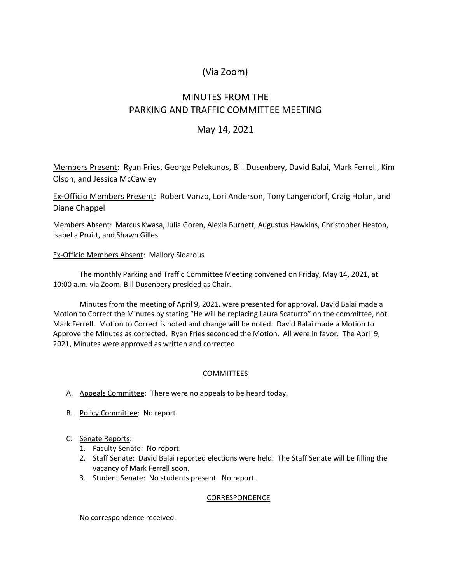# (Via Zoom)

# MINUTES FROM THE PARKING AND TRAFFIC COMMITTEE MEETING

### May 14, 2021

Members Present: Ryan Fries, George Pelekanos, Bill Dusenbery, David Balai, Mark Ferrell, Kim Olson, and Jessica McCawley

Ex-Officio Members Present: Robert Vanzo, Lori Anderson, Tony Langendorf, Craig Holan, and Diane Chappel

Members Absent: Marcus Kwasa, Julia Goren, Alexia Burnett, Augustus Hawkins, Christopher Heaton, Isabella Pruitt, and Shawn Gilles

### Ex-Officio Members Absent: Mallory Sidarous

The monthly Parking and Traffic Committee Meeting convened on Friday, May 14, 2021, at 10:00 a.m. via Zoom. Bill Dusenbery presided as Chair.

Minutes from the meeting of April 9, 2021, were presented for approval. David Balai made a Motion to Correct the Minutes by stating "He will be replacing Laura Scaturro" on the committee, not Mark Ferrell. Motion to Correct is noted and change will be noted. David Balai made a Motion to Approve the Minutes as corrected. Ryan Fries seconded the Motion. All were in favor. The April 9, 2021, Minutes were approved as written and corrected.

### COMMITTEES

- A. Appeals Committee: There were no appeals to be heard today.
- B. Policy Committee: No report.
- C. Senate Reports:
	- 1. Faculty Senate: No report.
	- 2. Staff Senate: David Balai reported elections were held. The Staff Senate will be filling the vacancy of Mark Ferrell soon.
	- 3. Student Senate: No students present. No report.

#### **CORRESPONDENCE**

No correspondence received.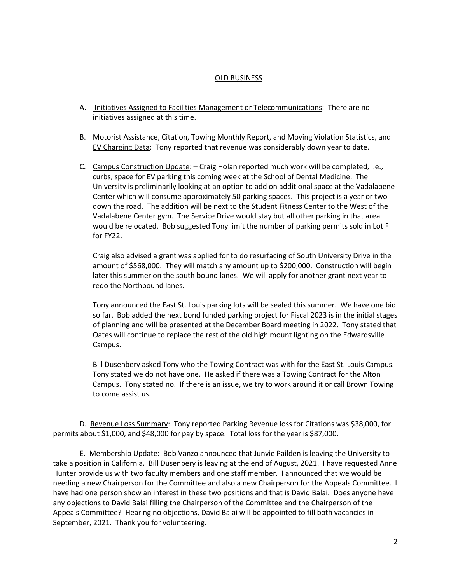#### OLD BUSINESS

- A. Initiatives Assigned to Facilities Management or Telecommunications: There are no initiatives assigned at this time.
- B. Motorist Assistance, Citation, Towing Monthly Report, and Moving Violation Statistics, and EV Charging Data: Tony reported that revenue was considerably down year to date.
- C. Campus Construction Update: Craig Holan reported much work will be completed, i.e., curbs, space for EV parking this coming week at the School of Dental Medicine. The University is preliminarily looking at an option to add on additional space at the Vadalabene Center which will consume approximately 50 parking spaces. This project is a year or two down the road. The addition will be next to the Student Fitness Center to the West of the Vadalabene Center gym. The Service Drive would stay but all other parking in that area would be relocated. Bob suggested Tony limit the number of parking permits sold in Lot F for FY22.

Craig also advised a grant was applied for to do resurfacing of South University Drive in the amount of \$568,000. They will match any amount up to \$200,000. Construction will begin later this summer on the south bound lanes. We will apply for another grant next year to redo the Northbound lanes.

Tony announced the East St. Louis parking lots will be sealed this summer. We have one bid so far. Bob added the next bond funded parking project for Fiscal 2023 is in the initial stages of planning and will be presented at the December Board meeting in 2022. Tony stated that Oates will continue to replace the rest of the old high mount lighting on the Edwardsville Campus.

Bill Dusenbery asked Tony who the Towing Contract was with for the East St. Louis Campus. Tony stated we do not have one. He asked if there was a Towing Contract for the Alton Campus. Tony stated no. If there is an issue, we try to work around it or call Brown Towing to come assist us.

D. Revenue Loss Summary: Tony reported Parking Revenue loss for Citations was \$38,000, for permits about \$1,000, and \$48,000 for pay by space. Total loss for the year is \$87,000.

E. Membership Update: Bob Vanzo announced that Junvie Pailden is leaving the University to take a position in California. Bill Dusenbery is leaving at the end of August, 2021. I have requested Anne Hunter provide us with two faculty members and one staff member. I announced that we would be needing a new Chairperson for the Committee and also a new Chairperson for the Appeals Committee. I have had one person show an interest in these two positions and that is David Balai. Does anyone have any objections to David Balai filling the Chairperson of the Committee and the Chairperson of the Appeals Committee? Hearing no objections, David Balai will be appointed to fill both vacancies in September, 2021. Thank you for volunteering.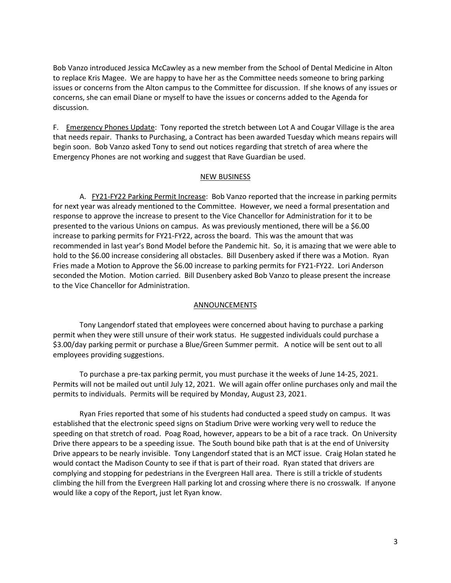Bob Vanzo introduced Jessica McCawley as a new member from the School of Dental Medicine in Alton to replace Kris Magee. We are happy to have her as the Committee needs someone to bring parking issues or concerns from the Alton campus to the Committee for discussion. If she knows of any issues or concerns, she can email Diane or myself to have the issues or concerns added to the Agenda for discussion.

F. Emergency Phones Update: Tony reported the stretch between Lot A and Cougar Village is the area that needs repair. Thanks to Purchasing, a Contract has been awarded Tuesday which means repairs will begin soon. Bob Vanzo asked Tony to send out notices regarding that stretch of area where the Emergency Phones are not working and suggest that Rave Guardian be used.

#### NEW BUSINESS

A. FY21-FY22 Parking Permit Increase: Bob Vanzo reported that the increase in parking permits for next year was already mentioned to the Committee. However, we need a formal presentation and response to approve the increase to present to the Vice Chancellor for Administration for it to be presented to the various Unions on campus. As was previously mentioned, there will be a \$6.00 increase to parking permits for FY21-FY22, across the board. This was the amount that was recommended in last year's Bond Model before the Pandemic hit. So, it is amazing that we were able to hold to the \$6.00 increase considering all obstacles. Bill Dusenbery asked if there was a Motion. Ryan Fries made a Motion to Approve the \$6.00 increase to parking permits for FY21-FY22. Lori Anderson seconded the Motion. Motion carried. Bill Dusenbery asked Bob Vanzo to please present the increase to the Vice Chancellor for Administration.

#### ANNOUNCEMENTS

Tony Langendorf stated that employees were concerned about having to purchase a parking permit when they were still unsure of their work status. He suggested individuals could purchase a \$3.00/day parking permit or purchase a Blue/Green Summer permit. A notice will be sent out to all employees providing suggestions.

To purchase a pre-tax parking permit, you must purchase it the weeks of June 14-25, 2021. Permits will not be mailed out until July 12, 2021. We will again offer online purchases only and mail the permits to individuals. Permits will be required by Monday, August 23, 2021.

Ryan Fries reported that some of his students had conducted a speed study on campus. It was established that the electronic speed signs on Stadium Drive were working very well to reduce the speeding on that stretch of road. Poag Road, however, appears to be a bit of a race track. On University Drive there appears to be a speeding issue. The South bound bike path that is at the end of University Drive appears to be nearly invisible. Tony Langendorf stated that is an MCT issue. Craig Holan stated he would contact the Madison County to see if that is part of their road. Ryan stated that drivers are complying and stopping for pedestrians in the Evergreen Hall area. There is still a trickle of students climbing the hill from the Evergreen Hall parking lot and crossing where there is no crosswalk. If anyone would like a copy of the Report, just let Ryan know.